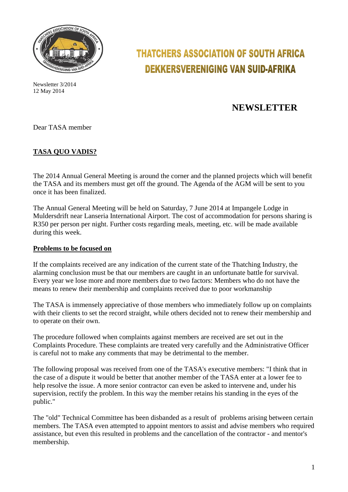

Newsletter 3/2014 12 May 2014

# **THATCHERS ASSOCIATION OF SOUTH AFRICA DEKKERSVERENIGING VAN SUID-AFRIKA**

# **NEWSLETTER**

Dear TASA member

## **TASA QUO VADIS?**

The 2014 Annual General Meeting is around the corner and the planned projects which will benefit the TASA and its members must get off the ground. The Agenda of the AGM will be sent to you once it has been finalized.

The Annual General Meeting will be held on Saturday, 7 June 2014 at Impangele Lodge in Muldersdrift near Lanseria International Airport. The cost of accommodation for persons sharing is R350 per person per night. Further costs regarding meals, meeting, etc. will be made available during this week.

### **Problems to be focused on**

If the complaints received are any indication of the current state of the Thatching Industry, the alarming conclusion must be that our members are caught in an unfortunate battle for survival. Every year we lose more and more members due to two factors: Members who do not have the means to renew their membership and complaints received due to poor workmanship

The TASA is immensely appreciative of those members who immediately follow up on complaints with their clients to set the record straight, while others decided not to renew their membership and to operate on their own.

The procedure followed when complaints against members are received are set out in the Complaints Procedure. These complaints are treated very carefully and the Administrative Officer is careful not to make any comments that may be detrimental to the member.

The following proposal was received from one of the TASA's executive members: "I think that in the case of a dispute it would be better that another member of the TASA enter at a lower fee to help resolve the issue. A more senior contractor can even be asked to intervene and, under his supervision, rectify the problem. In this way the member retains his standing in the eyes of the public."

The "old" Technical Committee has been disbanded as a result of problems arising between certain members. The TASA even attempted to appoint mentors to assist and advise members who required assistance, but even this resulted in problems and the cancellation of the contractor - and mentor's membership.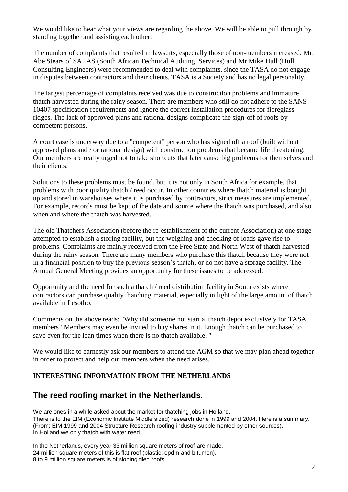We would like to hear what your views are regarding the above. We will be able to pull through by standing together and assisting each other.

The number of complaints that resulted in lawsuits, especially those of non-members increased. Mr. Abe Stears of SATAS (South African Technical Auditing Services) and Mr Mike Hull (Hull Consulting Engineers) were recommended to deal with complaints, since the TASA do not engage in disputes between contractors and their clients. TASA is a Society and has no legal personality.

The largest percentage of complaints received was due to construction problems and immature thatch harvested during the rainy season. There are members who still do not adhere to the SANS 10407 specification requirements and ignore the correct installation procedures for fibreglass ridges. The lack of approved plans and rational designs complicate the sign-off of roofs by competent persons.

A court case is underway due to a "competent" person who has signed off a roof (built without approved plans and / or rational design) with construction problems that became life threatening. Our members are really urged not to take shortcuts that later cause big problems for themselves and their clients.

Solutions to these problems must be found, but it is not only in South Africa for example, that problems with poor quality thatch / reed occur. In other countries where thatch material is bought up and stored in warehouses where it is purchased by contractors, strict measures are implemented. For example, records must be kept of the date and source where the thatch was purchased, and also when and where the thatch was harvested.

The old Thatchers Association (before the re-establishment of the current Association) at one stage attempted to establish a storing facility, but the weighing and checking of loads gave rise to problems. Complaints are mainly received from the Free State and North West of thatch harvested during the rainy season. There are many members who purchase this thatch because they were not in a financial position to buy the previous season's thatch, or do not have a storage facility. The Annual General Meeting provides an opportunity for these issues to be addressed.

Opportunity and the need for such a thatch / reed distribution facility in South exists where contractors can purchase quality thatching material, especially in light of the large amount of thatch available in Lesotho.

Comments on the above reads: "Why did someone not start a thatch depot exclusively for TASA members? Members may even be invited to buy shares in it. Enough thatch can be purchased to save even for the lean times when there is no thatch available. "

We would like to earnestly ask our members to attend the AGM so that we may plan ahead together in order to protect and help our members when the need arises.

### **INTERESTING INFORMATION FROM THE NETHERLANDS**

# **The reed roofing market in the Netherlands.**

We are ones in a while asked about the market for thatching jobs in Holland. There is to the EIM (Economic Institute Middle sized) research done in 1999 and 2004. Here is a summary. (From: EIM 1999 and 2004 Structure Research roofing industry supplemented by other sources). In Holland we only thatch with water reed.

In the Netherlands, every year 33 million square meters of roof are made. 24 million square meters of this is flat roof (plastic, epdm and bitumen). 8 to 9 million square meters is of sloping tiled roofs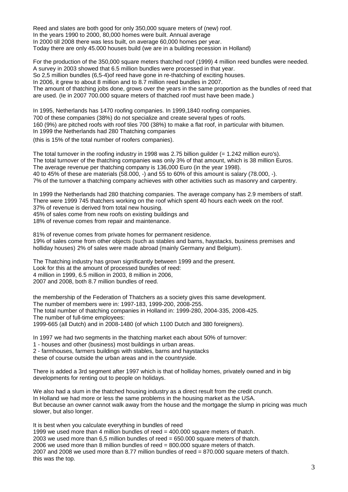Reed and slates are both good for only 350,000 square meters of (new) roof. In the years 1990 to 2000, 80,000 homes were built. Annual average In 2000 till 2008 there was less built, on average 60,000 homes per year. Today there are only 45.000 houses build (we are in a building recession in Holland)

For the production of the 350,000 square meters thatched roof (1999) 4 million reed bundles were needed. A survey in 2003 showed that 6.5 million bundles were processed in that year. So 2,5 million bundles (6,5-4)of reed have gone in re-thatching of exciting houses. In 2006, it grew to about 8 million and to 8.7 million reed bundles in 2007. The amount of thatching jobs done, grows over the years in the same proportion as the bundles of reed that are used. (Ie in 2007 700.000 square meters of thatched roof must have been made.)

In 1995, Netherlands has 1470 roofing companies. In 1999,1840 roofing companies. 700 of these companies (38%) do not specialize and create several types of roofs. 160 (9%) are pitched roofs with roof tiles 700 (38%) to make a flat roof, in particular with bitumen. In 1999 the Netherlands had 280 Thatching companies

(this is 15% of the total number of roofers companies).

The total turnover in the roofing industry in 1998 was 2.75 billion guilder  $(= 1.242$  million euro's). The total turnover of the thatching companies was only 3% of that amount, which is 38 million Euros. The average revenue per thatching company is 136,000 Euro (in the year 1998). 40 to 45% of these are materials (58.000, -) and 55 to 60% of this amount is salary (78.000, -). 7% of the turnover a thatching company achieves with other activities such as masonry and carpentry.

In 1999 the Netherlands had 280 thatching companies. The average company has 2.9 members of staff. There were 1999 745 thatchers working on the roof which spent 40 hours each week on the roof. 37% of revenue is derived from total new housing.

45% of sales come from new roofs on existing buildings and

18% of revenue comes from repair and maintenance.

81% of revenue comes from private homes for permanent residence. 19% of sales come from other objects (such as stables and barns, haystacks, business premises and holliday houses) 2% of sales were made abroad (mainly Germany and Belgium).

The Thatching industry has grown significantly between 1999 and the present. Look for this at the amount of processed bundles of reed: 4 million in 1999, 6.5 million in 2003, 8 million in 2006, 2007 and 2008, both 8.7 million bundles of reed.

the membership of the Federation of Thatchers as a society gives this same development. The number of members were in: 1997-183, 1999-200, 2008-255. The total number of thatching companies in Holland in: 1999-280, 2004-335, 2008-425. The number of full-time employees: 1999-665 (all Dutch) and in 2008-1480 (of which 1100 Dutch and 380 foreigners).

In 1997 we had two segments in the thatching market each about 50% of turnover:

1 - houses and other (business) most buildings in urban areas.

2 - farmhouses, farmers buildings with stables, barns and haystacks

these of course outside the urban areas and in the countryside.

There is added a 3rd segment after 1997 which is that of holliday homes, privately owned and in big developments for renting out to people on holidays.

We also had a slum in the thatched housing industry as a direct result from the credit crunch. In Holland we had more or less the same problems in the housing market as the USA. But because an owner cannot walk away from the house and the mortgage the slump in pricing was much slower, but also longer.

It is best when you calculate everything in bundles of reed 1999 we used more than 4 million bundles of reed = 400.000 square meters of thatch. 2003 we used more than  $6.5$  million bundles of reed  $= 650.000$  square meters of thatch. 2006 we used more than 8 million bundles of reed = 800.000 square meters of thatch. 2007 and 2008 we used more than 8.77 million bundles of reed = 870.000 square meters of thatch. this was the top.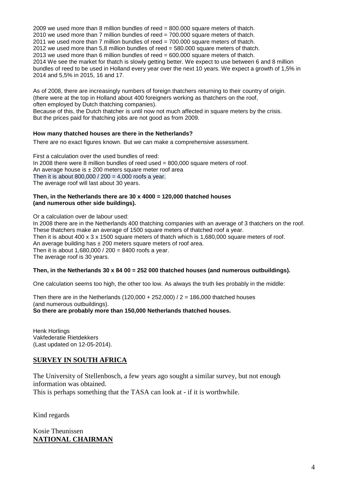2009 we used more than 8 million bundles of reed = 800.000 square meters of thatch. 2010 we used more than 7 million bundles of reed = 700.000 square meters of thatch. 2011 we used more than 7 million bundles of reed = 700.000 square meters of thatch. 2012 we used more than 5,8 million bundles of reed = 580.000 square meters of thatch. 2013 we used more than 6 million bundles of reed  $= 600.000$  square meters of thatch. 2014 We see the market for thatch is slowly getting better. We expect to use between 6 and 8 million bundles of reed to be used in Holland every year over the next 10 years. We expect a growth of 1,5% in 2014 and 5,5% in 2015, 16 and 17.

As of 2008, there are increasingly numbers of foreign thatchers returning to their country of origin. (there were at the top in Holland about 400 foreigners working as thatchers on the roof, often employed by Dutch thatching companies).

Because of this, the Dutch thatcher is until now not much affected in square meters by the crisis. But the prices paid for thatching jobs are not good as from 2009.

### **How many thatched houses are there in the Netherlands?**

There are no exact figures known. But we can make a comprehensive assessment.

First a calculation over the used bundles of reed: In 2008 there were 8 million bundles of reed used = 800,000 square meters of roof. An average house is  $\pm 200$  meters square meter roof area Then it is about  $800,000 / 200 = 4,000$  roofs a year. The average roof will last about 30 years.

#### **Then, in the Netherlands there are 30 x 4000 = 120,000 thatched houses (and numerous other side buildings).**

Or a calculation over de labour used: In 2008 there are in the Netherlands 400 thatching companies with an average of 3 thatchers on the roof. These thatchers make an average of 1500 square meters of thatched roof a year. Then it is about 400 x 3 x 1500 square meters of thatch which is 1,680,000 square meters of roof. An average building has  $\pm 200$  meters square meters of roof area. Then it is about 1,680,000 / 200 = 8400 roofs a year. The average roof is 30 years.

### **Then, in the Netherlands 30 x 84 00 = 252 000 thatched houses (and numerous outbuildings).**

One calculation seems too high, the other too low. As always the truth lies probably in the middle:

Then there are in the Netherlands  $(120,000 + 252,000)$  / 2 = 186,000 thatched houses (and numerous outbuildings). **So there are probably more than 150,000 Netherlands thatched houses.**

Henk Horlings Vakfederatie Rietdekkers (Last updated on 12-05-2014).

### **SURVEY IN SOUTH AFRICA**

The University of Stellenbosch, a few years ago sought a similar survey, but not enough information was obtained. This is perhaps something that the TASA can look at - if it is worthwhile.

Kind regards

Kosie Theunissen **NATIONAL CHAIRMAN**